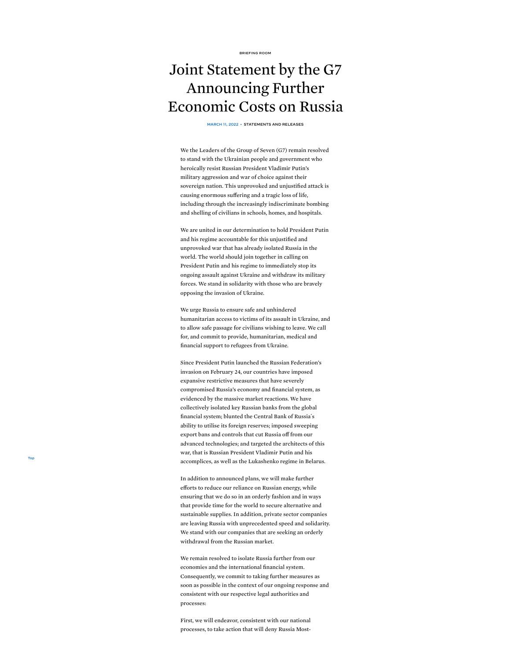[BRIEFING](https://www.whitehouse.gov/briefing-room/) ROOM

## <span id="page-0-0"></span>Joint Statement by the G7 Announcing Further Economic Costs on Russia

MARCH 11, 2022 • [STATEMENTS](https://www.whitehouse.gov/briefing-room/statements-releases/) AND RELEASES

We the Leaders of the Group of Seven (G7) remain resolved to stand with the Ukrainian people and government who heroically resist Russian President Vladimir Putin's military aggression and war of choice against their sovereign nation. This unprovoked and unjustified attack is causing enormous suffering and a tragic loss of life, including through the increasingly indiscriminate bombing and shelling of civilians in schools, homes, and hospitals.

We are united in our determination to hold President Putin and his regime accountable for this unjustified and unprovoked war that has already isolated Russia in the world. The world should join together in calling on President Putin and his regime to immediately stop its ongoing assault against Ukraine and withdraw its military forces. We stand in solidarity with those who are bravely opposing the invasion of Ukraine.

We urge Russia to ensure safe and unhindered humanitarian access to victims of its assault in Ukraine, and to allow safe passage for civilians wishing to leave. We call for, and commit to provide, humanitarian, medical and financial support to refugees from Ukraine.

Since President Putin launched the Russian Federation's invasion on February 24, our countries have imposed expansive restrictive measures that have severely compromised Russia's economy and financial system, as evidenced by the massive market reactions. We have collectively isolated key Russian banks from the global financial system; blunted the Central Bank of Russia´s ability to utilise its foreign reserves; imposed sweeping export bans and controls that cut Russia off from our advanced technologies; and targeted the architects of this war, that is Russian President Vladimir Putin and his accomplices, as well as the Lukashenko regime in Belarus.

[Top](#page-0-0)

In addition to announced plans, we will make further efforts to reduce our reliance on Russian energy, while ensuring that we do so in an orderly fashion and in ways that provide time for the world to secure alternative and sustainable supplies. In addition, private sector companies are leaving Russia with unprecedented speed and solidarity. We stand with our companies that are seeking an orderly withdrawal from the Russian market.

We remain resolved to isolate Russia further from our economies and the international financial system. Consequently, we commit to taking further measures as soon as possible in the context of our ongoing response and consistent with our respective legal authorities and processes:

First, we will endeavor, consistent with our national processes, to take action that will deny Russia Most-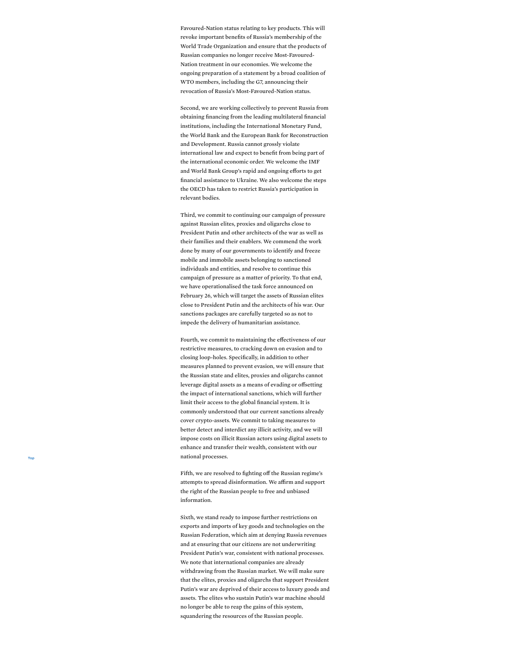Favoured-Nation status relating to key products. This will revoke important benefits of Russia's membership of the World Trade Organization and ensure that the products of Russian companies no longer receive Most-Favoured- Nation treatment in our economies. We welcome the ongoing preparation of a statement by a broad coalition of WTO members, including the G7, announcing their revocation of Russia's Most-Favoured-Nation status.

Second, we are working collectively to prevent Russia from obtaining financing from the leading multilateral financial institutions, including the International Monetary Fund, the World Bank and the European Bank for Reconstruction and Development. Russia cannot grossly violate international law and expect to benefit from being part of the international economic order. We welcome the IMF and World Bank Group's rapid and ongoing efforts to get financial assistance to Ukraine. We also welcome the steps the OECD has taken to restrict Russia's participation in relevant bodies.

Third, we commit to continuing our campaign of pressure against Russian elites, proxies and oligarchs close to President Putin and other architects of the war as well as their families and their enablers. We commend the work done by many of our governments to identify and freeze mobile and immobile assets belonging to sanctioned individuals and entities, and resolve to continue this campaign of pressure as a matter of priority. To that end, we have operationalised the task force announced on February 26, which will target the assets of Russian elites close to President Putin and the architects of his war. Our sanctions packages are carefully targeted so as not to impede the delivery of humanitarian assistance.

Fourth, we commit to maintaining the effectiveness of our restrictive measures, to cracking down on evasion and to closing loop-holes. Specifically, in addition to other measures planned to prevent evasion, we will ensure that the Russian state and elites, proxies and oligarchs cannot leverage digital assets as a means of evading or offsetting the impact of international sanctions, which will further limit their access to the global financial system. It is commonly understood that our current sanctions already cover crypto-assets. We commit to taking measures to better detect and interdict any illicit activity, and we will impose costs on illicit Russian actors using digital assets to enhance and transfer their wealth, consistent with our national processes.

Fifth, we are resolved to fighting off the Russian regime's attempts to spread disinformation. We affirm and support the right of the Russian people to free and unbiased information.

Sixth, we stand ready to impose further restrictions on exports and imports of key goods and technologies on the Russian Federation, which aim at denying Russia revenues and at ensuring that our citizens are not underwriting President Putin's war, consistent with national processes. We note that international companies are already withdrawing from the Russian market. We will make sure that the elites, proxies and oligarchs that support President Putin's war are deprived of their access to luxury goods and assets. The elites who sustain Putin's war machine should no longer be able to reap the gains of this system, [Top](#page-0-0)<br>
Top<br>
infith, we are resolved to fighting off the Russian and<br>
the right of the Russian people to free and unbiase<br>
information.<br>
Sixth, we stand ready to impose further restriction<br>
exports and imports of key goods an